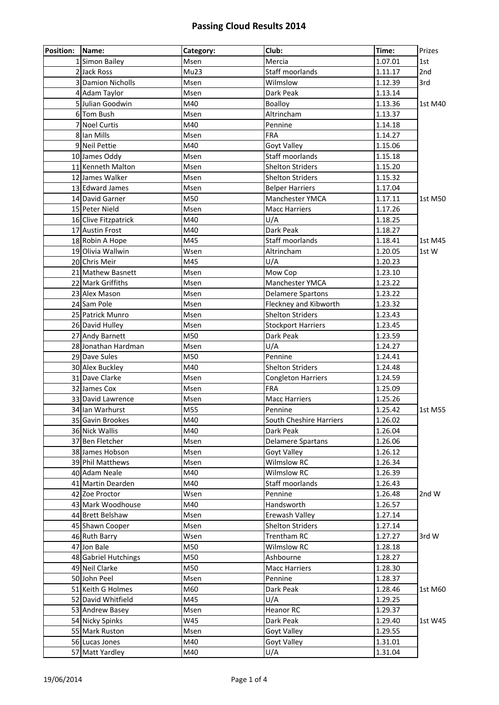| Position: Name: |                      | Category:   | Club:                     | Time:              | Prizes  |
|-----------------|----------------------|-------------|---------------------------|--------------------|---------|
|                 | 1 Simon Bailey       | Msen        | Mercia                    | 1.07.01            | 1st     |
|                 | 2 Jack Ross          | Mu23        | Staff moorlands           | 1.11.17            | 2nd     |
|                 | 3 Damion Nicholls    | Msen        | Wilmslow                  | 1.12.39            | 3rd     |
|                 | 4 Adam Taylor        | Msen        | Dark Peak                 | 1.13.14            |         |
|                 | 5 Julian Goodwin     | M40         | <b>Boalloy</b>            | 1.13.36            | 1st M40 |
|                 | 6 Tom Bush           | Msen        | Altrincham                | 1.13.37            |         |
|                 | 7 Noel Curtis        | M40         | Pennine                   | 1.14.18            |         |
|                 | 8 Ian Mills          | Msen        | <b>FRA</b>                | 1.14.27            |         |
|                 | 9 Neil Pettie        | M40         | Goyt Valley               | 1.15.06            |         |
|                 | 10 James Oddy        | Msen        | Staff moorlands           | 1.15.18            |         |
|                 | 11 Kenneth Malton    | Msen        | <b>Shelton Striders</b>   | 1.15.20            |         |
|                 | 12 James Walker      | Msen        | <b>Shelton Striders</b>   | 1.15.32            |         |
|                 | 13 Edward James      | Msen        | <b>Belper Harriers</b>    | 1.17.04            |         |
|                 | 14 David Garner      | M50         | Manchester YMCA           | 1.17.11            | 1st M50 |
|                 | 15 Peter Nield       | Msen        | <b>Macc Harriers</b>      | 1.17.26            |         |
|                 | 16 Clive Fitzpatrick | M40         | U/A                       | 1.18.25            |         |
|                 | 17 Austin Frost      | M40         | Dark Peak                 | 1.18.27            |         |
|                 | 18 Robin A Hope      | M45         | Staff moorlands           | 1.18.41            | 1st M45 |
|                 | 19 Olivia Wallwin    | Wsen        | Altrincham                | 1.20.05            | 1st W   |
|                 | 20 Chris Meir        | M45         | U/A                       | 1.20.23            |         |
|                 | 21 Mathew Basnett    | Msen        | Mow Cop                   | 1.23.10            |         |
|                 | 22 Mark Griffiths    | Msen        | Manchester YMCA           | 1.23.22            |         |
|                 | 23 Alex Mason        | Msen        | <b>Delamere Spartons</b>  | 1.23.22            |         |
|                 | 24 Sam Pole          | Msen        | Fleckney and Kibworth     | 1.23.32            |         |
|                 | 25 Patrick Munro     | Msen        | <b>Shelton Striders</b>   | 1.23.43            |         |
|                 | 26 David Hulley      | Msen        | <b>Stockport Harriers</b> | 1.23.45            |         |
|                 | 27 Andy Barnett      | M50         | Dark Peak                 | 1.23.59            |         |
|                 | 28 Jonathan Hardman  | Msen        | U/A                       | 1.24.27            |         |
|                 | 29 Dave Sules        | M50         | Pennine                   | 1.24.41            |         |
|                 | 30 Alex Buckley      | M40         | <b>Shelton Striders</b>   | 1.24.48            |         |
|                 | 31 Dave Clarke       | Msen        | <b>Congleton Harriers</b> | 1.24.59            |         |
|                 | 32 James Cox         | Msen        | <b>FRA</b>                | 1.25.09            |         |
|                 | 33 David Lawrence    | Msen        | <b>Macc Harriers</b>      | 1.25.26            |         |
|                 | 34 Ian Warhurst      | M55         |                           | 1.25.42            | 1st M55 |
|                 | 35 Gavin Brookes     |             | Pennine                   |                    |         |
|                 |                      | M40<br>M40  | South Cheshire Harriers   | 1.26.02<br>1.26.04 |         |
|                 | 36 Nick Wallis       |             | Dark Peak                 | 1.26.06            |         |
|                 | 37 Ben Fletcher      | Msen        | <b>Delamere Spartans</b>  |                    |         |
|                 | 38 James Hobson      | <b>Msen</b> | Goyt Valley               | 1.26.12            |         |
|                 | 39 Phil Matthews     | Msen        | <b>Wilmslow RC</b>        | 1.26.34            |         |
|                 | 40 Adam Neale        | M40         | <b>Wilmslow RC</b>        | 1.26.39            |         |
|                 | 41 Martin Dearden    | M40         | Staff moorlands           | 1.26.43            |         |
|                 | 42 Zoe Proctor       | Wsen        | Pennine                   | 1.26.48            | 2nd W   |
|                 | 43 Mark Woodhouse    | M40         | Handsworth                | 1.26.57            |         |
|                 | 44 Brett Belshaw     | Msen        | Erewash Valley            | 1.27.14            |         |
|                 | 45 Shawn Cooper      | Msen        | <b>Shelton Striders</b>   | 1.27.14            |         |
|                 | 46 Ruth Barry        | Wsen        | <b>Trentham RC</b>        | 1.27.27            | 3rd W   |
|                 | 47 Jon Bale          | M50         | Wilmslow RC               | 1.28.18            |         |
|                 | 48 Gabriel Hutchings | M50         | Ashbourne                 | 1.28.27            |         |
|                 | 49 Neil Clarke       | M50         | <b>Macc Harriers</b>      | 1.28.30            |         |
|                 | 50 John Peel         | Msen        | Pennine                   | 1.28.37            |         |
|                 | 51 Keith G Holmes    | M60         | Dark Peak                 | 1.28.46            | 1st M60 |
|                 | 52 David Whitfield   | M45         | U/A                       | 1.29.25            |         |
|                 | 53 Andrew Basey      | Msen        | <b>Heanor RC</b>          | 1.29.37            |         |
|                 | 54 Nicky Spinks      | W45         | Dark Peak                 | 1.29.40            | 1st W45 |
|                 | 55 Mark Ruston       | Msen        | Goyt Valley               | 1.29.55            |         |
|                 | 56 Lucas Jones       | M40         | Goyt Valley               | 1.31.01            |         |
|                 | 57 Matt Yardley      | M40         | U/A                       | 1.31.04            |         |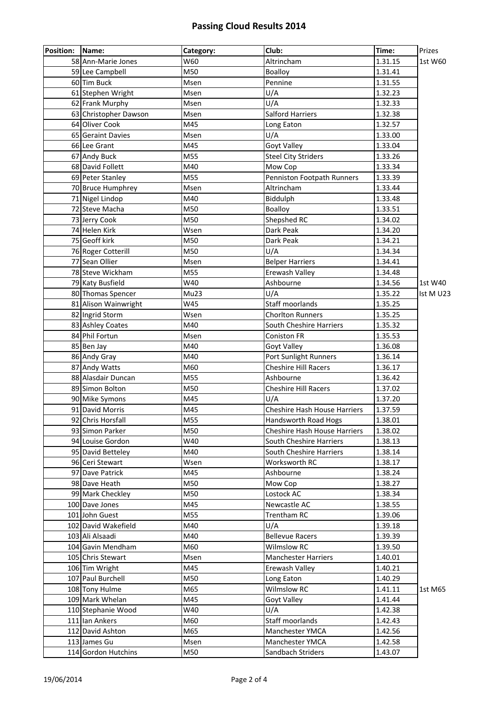| <b>Position:</b> | Name:                 | Category: | Club:                               | Time:   | Prizes    |
|------------------|-----------------------|-----------|-------------------------------------|---------|-----------|
|                  | 58 Ann-Marie Jones    | W60       | Altrincham                          | 1.31.15 | 1st W60   |
|                  | 59 Lee Campbell       | M50       | Boalloy                             | 1.31.41 |           |
|                  | 60 Tim Buck           | Msen      | Pennine                             | 1.31.55 |           |
|                  | 61 Stephen Wright     | Msen      | U/A                                 | 1.32.23 |           |
|                  | 62 Frank Murphy       | Msen      | U/A                                 | 1.32.33 |           |
|                  | 63 Christopher Dawson | Msen      | <b>Salford Harriers</b>             | 1.32.38 |           |
|                  | 64 Oliver Cook        | M45       | Long Eaton                          | 1.32.57 |           |
|                  | 65 Geraint Davies     | Msen      | U/A                                 | 1.33.00 |           |
|                  | 66 Lee Grant          | M45       | Goyt Valley                         | 1.33.04 |           |
|                  | 67 Andy Buck          | M55       | <b>Steel City Striders</b>          | 1.33.26 |           |
|                  | 68 David Follett      | M40       | Mow Cop                             | 1.33.34 |           |
|                  | 69 Peter Stanley      | M55       | Penniston Footpath Runners          | 1.33.39 |           |
|                  | 70 Bruce Humphrey     | Msen      | Altrincham                          | 1.33.44 |           |
|                  | 71 Nigel Lindop       | M40       | Biddulph                            | 1.33.48 |           |
|                  | 72 Steve Macha        | M50       | Boalloy                             | 1.33.51 |           |
|                  | 73 Jerry Cook         | M50       | Shepshed RC                         | 1.34.02 |           |
|                  | 74 Helen Kirk         | Wsen      | Dark Peak                           | 1.34.20 |           |
|                  | 75 Geoff kirk         | M50       | Dark Peak                           | 1.34.21 |           |
|                  | 76 Roger Cotterill    | M50       | U/A                                 | 1.34.34 |           |
|                  | 77 Sean Ollier        | Msen      | <b>Belper Harriers</b>              | 1.34.41 |           |
|                  | 78 Steve Wickham      | M55       | Erewash Valley                      | 1.34.48 |           |
|                  | 79 Katy Busfield      | W40       | Ashbourne                           | 1.34.56 | 1st W40   |
|                  | 80 Thomas Spencer     | Mu23      | U/A                                 | 1.35.22 | Ist M U23 |
|                  | 81 Alison Wainwright  | W45       | Staff moorlands                     | 1.35.25 |           |
|                  | 82 Ingrid Storm       | Wsen      | <b>Chorlton Runners</b>             | 1.35.25 |           |
|                  | 83 Ashley Coates      | M40       | South Cheshire Harriers             | 1.35.32 |           |
|                  | 84 Phil Fortun        | Msen      | <b>Coniston FR</b>                  | 1.35.53 |           |
|                  | 85 Ben Jay            | M40       | Goyt Valley                         | 1.36.08 |           |
|                  | 86 Andy Gray          | M40       | Port Sunlight Runners               | 1.36.14 |           |
|                  | 87 Andy Watts         | M60       | <b>Cheshire Hill Racers</b>         | 1.36.17 |           |
|                  | 88 Alasdair Duncan    | M55       | Ashbourne                           | 1.36.42 |           |
|                  | 89 Simon Bolton       | M50       | Cheshire Hill Racers                | 1.37.02 |           |
|                  | 90 Mike Symons        | M45       | U/A                                 | 1.37.20 |           |
|                  | 91 David Morris       | M45       | <b>Cheshire Hash House Harriers</b> | 1.37.59 |           |
|                  | 92 Chris Horsfall     | M55       | Handsworth Road Hogs                | 1.38.01 |           |
|                  | 93 Simon Parker       | M50       | Cheshire Hash House Harriers        | 1.38.02 |           |
|                  | 94 Louise Gordon      | W40       | South Cheshire Harriers             | 1.38.13 |           |
|                  | 95 David Betteley     | M40       | South Cheshire Harriers             | 1.38.14 |           |
|                  | 96 Ceri Stewart       | Wsen      | Worksworth RC                       | 1.38.17 |           |
|                  | 97 Dave Patrick       | M45       | Ashbourne                           | 1.38.24 |           |
|                  | 98 Dave Heath         | M50       | Mow Cop                             | 1.38.27 |           |
|                  | 99 Mark Checkley      | M50       | Lostock AC                          | 1.38.34 |           |
|                  | 100 Dave Jones        | M45       | Newcastle AC                        | 1.38.55 |           |
|                  | 101 John Guest        | M55       | <b>Trentham RC</b>                  | 1.39.06 |           |
|                  | 102 David Wakefield   | M40       | U/A                                 | 1.39.18 |           |
|                  | 103 Ali Alsaadi       | M40       | <b>Bellevue Racers</b>              | 1.39.39 |           |
|                  | 104 Gavin Mendham     | M60       | <b>Wilmslow RC</b>                  | 1.39.50 |           |
|                  | 105 Chris Stewart     | Msen      | <b>Manchester Harriers</b>          | 1.40.01 |           |
|                  | 106 Tim Wright        | M45       | Erewash Valley                      | 1.40.21 |           |
|                  | 107 Paul Burchell     | M50       | Long Eaton                          | 1.40.29 |           |
|                  | 108 Tony Hulme        | M65       | <b>Wilmslow RC</b>                  | 1.41.11 | 1st M65   |
|                  | 109 Mark Whelan       | M45       | Goyt Valley                         | 1.41.44 |           |
|                  | 110 Stephanie Wood    | W40       | U/A                                 | 1.42.38 |           |
|                  | 111 Ian Ankers        | M60       | Staff moorlands                     | 1.42.43 |           |
|                  | 112 David Ashton      | M65       | Manchester YMCA                     | 1.42.56 |           |
|                  | 113 James Gu          | Msen      | Manchester YMCA                     | 1.42.58 |           |
|                  | 114 Gordon Hutchins   | M50       | Sandbach Striders                   | 1.43.07 |           |
|                  |                       |           |                                     |         |           |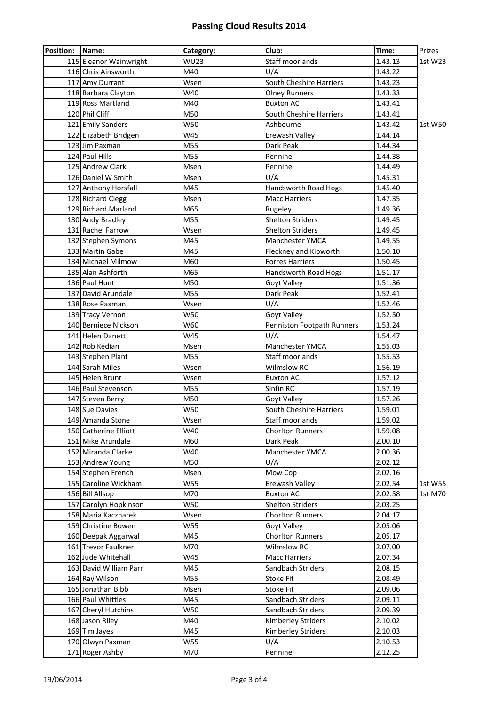| Position: Name: |                        | Category:   | Club:                      | Time:   | Prizes  |
|-----------------|------------------------|-------------|----------------------------|---------|---------|
|                 | 115 Eleanor Wainwright | <b>WU23</b> | Staff moorlands            | 1.43.13 | 1st W23 |
|                 | 116 Chris Ainsworth    | M40         | U/A                        | 1.43.22 |         |
|                 | 117 Amy Durrant        | Wsen        | South Cheshire Harriers    | 1.43.23 |         |
|                 | 118 Barbara Clayton    | W40         | <b>Olney Runners</b>       | 1.43.33 |         |
|                 | 119 Ross Martland      | M40         | <b>Buxton AC</b>           | 1.43.41 |         |
|                 | 120 Phil Cliff         | M50         | South Cheshire Harriers    | 1.43.41 |         |
|                 | 121 Emily Sanders      | W50         | Ashbourne                  | 1.43.42 | 1st W50 |
|                 | 122 Elizabeth Bridgen  | W45         | Erewash Valley             | 1.44.14 |         |
|                 | 123 Jim Paxman         | M55         | Dark Peak                  | 1.44.34 |         |
|                 | 124 Paul Hills         | M55         | Pennine                    | 1.44.38 |         |
|                 | 125 Andrew Clark       | Msen        | Pennine                    | 1.44.49 |         |
|                 | 126 Daniel W Smith     | Msen        | U/A                        | 1.45.31 |         |
|                 | 127 Anthony Horsfall   | M45         | Handsworth Road Hogs       | 1.45.40 |         |
|                 | 128 Richard Clegg      | Msen        | <b>Macc Harriers</b>       | 1.47.35 |         |
|                 | 129 Richard Marland    | M65         | Rugeley                    | 1.49.36 |         |
|                 | 130 Andy Bradley       | M55         | <b>Shelton Striders</b>    | 1.49.45 |         |
|                 | 131 Rachel Farrow      | Wsen        | <b>Shelton Striders</b>    | 1.49.45 |         |
|                 | 132 Stephen Symons     | M45         | Manchester YMCA            | 1.49.55 |         |
|                 | 133 Martin Gabe        | M45         | Fleckney and Kibworth      | 1.50.10 |         |
|                 | 134 Michael Milmow     | M60         | <b>Forres Harriers</b>     | 1.50.45 |         |
|                 | 135 Alan Ashforth      | M65         | Handsworth Road Hogs       | 1.51.17 |         |
|                 | 136 Paul Hunt          | M50         | Goyt Valley                | 1.51.36 |         |
|                 | 137 David Arundale     | M55         | Dark Peak                  | 1.52.41 |         |
|                 | 138 Rose Paxman        | Wsen        | U/A                        | 1.52.46 |         |
|                 | 139 Tracy Vernon       | W50         | Goyt Valley                | 1.52.50 |         |
|                 | 140 Berniece Nickson   | W60         | Penniston Footpath Runners | 1.53.24 |         |
|                 | 141 Helen Danett       | W45         | U/A                        | 1.54.47 |         |
|                 | 142 Rob Kedian         | Msen        | Manchester YMCA            | 1.55.03 |         |
|                 | 143 Stephen Plant      | M55         | Staff moorlands            | 1.55.53 |         |
|                 | 144 Sarah Miles        | Wsen        | Wilmslow RC                | 1.56.19 |         |
|                 | 145 Helen Brunt        | Wsen        | <b>Buxton AC</b>           | 1.57.12 |         |
|                 | 146 Paul Stevenson     | M55         | Sinfin RC                  | 1.57.19 |         |
|                 | 147 Steven Berry       | M50         | Goyt Valley                | 1.57.26 |         |
|                 | 148 Sue Davies         | W50         | South Cheshire Harriers    | 1.59.01 |         |
|                 | 149 Amanda Stone       | Wsen        | Staff moorlands            | 1.59.02 |         |
|                 | 150 Catherine Elliott  | W40         | <b>Chorlton Runners</b>    | 1.59.08 |         |
|                 | 151 Mike Arundale      | M60         | Dark Peak                  | 2.00.10 |         |
|                 | 152 Miranda Clarke     | W40         | Manchester YMCA            | 2.00.36 |         |
|                 | 153 Andrew Young       | M50         | U/A                        | 2.02.12 |         |
|                 | 154 Stephen French     | Msen        | Mow Cop                    | 2.02.16 |         |
|                 | 155 Caroline Wickham   | W55         | Erewash Valley             | 2.02.54 | 1st W55 |
|                 | 156 Bill Allsop        | M70         | <b>Buxton AC</b>           | 2.02.58 | 1st M70 |
|                 | 157 Carolyn Hopkinson  | W50         | <b>Shelton Striders</b>    | 2.03.25 |         |
|                 | 158 Maria Kacznarek    | Wsen        | <b>Chorlton Runners</b>    | 2.04.17 |         |
|                 | 159 Christine Bowen    | W55         | Goyt Valley                | 2.05.06 |         |
|                 | 160 Deepak Aggarwal    | M45         | <b>Chorlton Runners</b>    | 2.05.17 |         |
|                 | 161 Trevor Faulkner    | M70         | Wilmslow RC                | 2.07.00 |         |
|                 | 162 Jude Whitehall     | W45         | <b>Macc Harriers</b>       | 2.07.34 |         |
|                 | 163 David William Parr | M45         | Sandbach Striders          | 2.08.15 |         |
|                 | 164 Ray Wilson         | M55         | <b>Stoke Fit</b>           | 2.08.49 |         |
|                 | 165 Jonathan Bibb      | Msen        | <b>Stoke Fit</b>           | 2.09.06 |         |
|                 | 166 Paul Whittles      | M45         | Sandbach Striders          | 2.09.11 |         |
|                 | 167 Cheryl Hutchins    | W50         | Sandbach Striders          | 2.09.39 |         |
|                 | 168 Jason Riley        | M40         | Kimberley Striders         | 2.10.02 |         |
|                 | 169 Tim Jayes          | M45         | Kimberley Striders         | 2.10.03 |         |
|                 | 170 Olwyn Paxman       | W55         | U/A                        | 2.10.53 |         |
|                 | 171 Roger Ashby        | M70         | Pennine                    | 2.12.25 |         |
|                 |                        |             |                            |         |         |